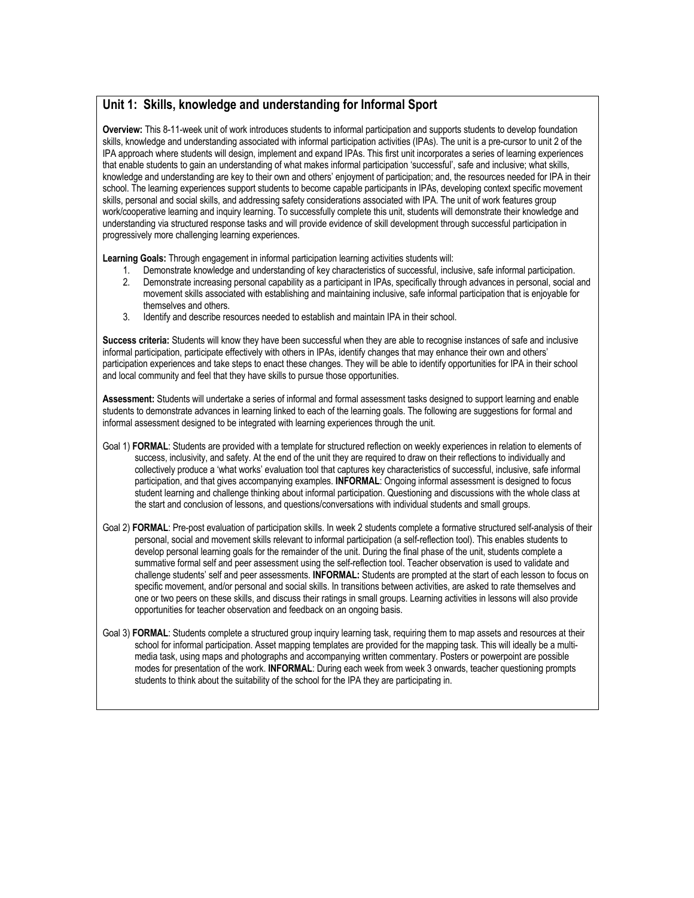## **Unit 1: Skills, knowledge and understanding for Informal Sport**

**Overview:** This 8-11-week unit of work introduces students to informal participation and supports students to develop foundation skills, knowledge and understanding associated with informal participation activities (IPAs). The unit is a pre-cursor to unit 2 of the IPA approach where students will design, implement and expand IPAs. This first unit incorporates a series of learning experiences that enable students to gain an understanding of what makes informal participation 'successful', safe and inclusive; what skills, knowledge and understanding are key to their own and others' enjoyment of participation; and, the resources needed for IPA in their school. The learning experiences support students to become capable participants in IPAs, developing context specific movement skills, personal and social skills, and addressing safety considerations associated with IPA. The unit of work features group work/cooperative learning and inquiry learning. To successfully complete this unit, students will demonstrate their knowledge and understanding via structured response tasks and will provide evidence of skill development through successful participation in progressively more challenging learning experiences.

**Learning Goals:** Through engagement in informal participation learning activities students will:

- 1. Demonstrate knowledge and understanding of key characteristics of successful, inclusive, safe informal participation.
- 2. Demonstrate increasing personal capability as a participant in IPAs, specifically through advances in personal, social and movement skills associated with establishing and maintaining inclusive, safe informal participation that is enjoyable for themselves and others.
- 3. Identify and describe resources needed to establish and maintain IPA in their school.

**Success criteria:** Students will know they have been successful when they are able to recognise instances of safe and inclusive informal participation, participate effectively with others in IPAs, identify changes that may enhance their own and others' participation experiences and take steps to enact these changes. They will be able to identify opportunities for IPA in their school and local community and feel that they have skills to pursue those opportunities.

**Assessment:** Students will undertake a series of informal and formal assessment tasks designed to support learning and enable students to demonstrate advances in learning linked to each of the learning goals. The following are suggestions for formal and informal assessment designed to be integrated with learning experiences through the unit.

- Goal 1) **FORMAL**: Students are provided with a template for structured reflection on weekly experiences in relation to elements of success, inclusivity, and safety. At the end of the unit they are required to draw on their reflections to individually and collectively produce a 'what works' evaluation tool that captures key characteristics of successful, inclusive, safe informal participation, and that gives accompanying examples. **INFORMAL**: Ongoing informal assessment is designed to focus student learning and challenge thinking about informal participation. Questioning and discussions with the whole class at the start and conclusion of lessons, and questions/conversations with individual students and small groups.
- Goal 2) **FORMAL**: Pre-post evaluation of participation skills. In week 2 students complete a formative structured self-analysis of their personal, social and movement skills relevant to informal participation (a self-reflection tool). This enables students to develop personal learning goals for the remainder of the unit. During the final phase of the unit, students complete a summative formal self and peer assessment using the self-reflection tool. Teacher observation is used to validate and challenge students' self and peer assessments. **INFORMAL:** Students are prompted at the start of each lesson to focus on specific movement, and/or personal and social skills. In transitions between activities, are asked to rate themselves and one or two peers on these skills, and discuss their ratings in small groups. Learning activities in lessons will also provide opportunities for teacher observation and feedback on an ongoing basis.
- Goal 3) **FORMAL**: Students complete a structured group inquiry learning task, requiring them to map assets and resources at their school for informal participation. Asset mapping templates are provided for the mapping task. This will ideally be a multimedia task, using maps and photographs and accompanying written commentary. Posters or powerpoint are possible modes for presentation of the work. **INFORMAL**: During each week from week 3 onwards, teacher questioning prompts students to think about the suitability of the school for the IPA they are participating in.